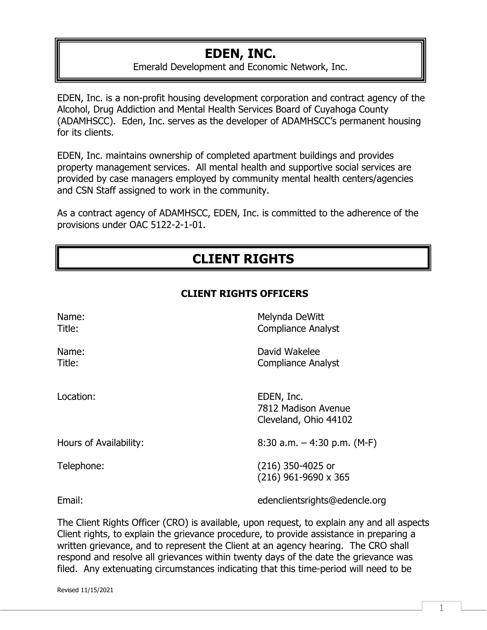## **EDEN, INC.**

Emerald Development and Economic Network, Inc.

EDEN, Inc. is a non-profit housing development corporation and contract agency of the Alcohol, Drug Addiction and Mental Health Services Board of Cuyahoga County (ADAMHSCC). Eden, Inc. serves as the developer of ADAMHSCC's permanent housing for its clients.

EDEN, Inc. maintains ownership of completed apartment buildings and provides property management services. All mental health and supportive social services are provided by case managers employed by community mental health centers/agencies and CSN Staff assigned to work in the community.

As a contract agency of ADAMHSCC, EDEN, Inc. is committed to the adherence of the provisions under OAC 5122-2-1-01.

# **CLIENT RIGHTS**

### **CLIENT RIGHTS OFFICERS**

| Name:<br>Title:        | Melynda DeWitt<br><b>Compliance Analyst</b>                |
|------------------------|------------------------------------------------------------|
| Name:<br>Title:        | David Wakelee<br><b>Compliance Analyst</b>                 |
| Location:              | EDEN, Inc.<br>7812 Madison Avenue<br>Cleveland, Ohio 44102 |
| Hours of Availability: | $8:30$ a.m. $-4:30$ p.m. (M-F)                             |
| Telephone:             | (216) 350-4025 or<br>$(216)$ 961-9690 x 365                |
| Email:                 | edenclientsrights@edencle.org                              |

The Client Rights Officer (CRO) is available, upon request, to explain any and all aspects Client rights, to explain the grievance procedure, to provide assistance in preparing a written grievance, and to represent the Client at an agency hearing. The CRO shall respond and resolve all grievances within twenty days of the date the grievance was filed. Any extenuating circumstances indicating that this time-period will need to be

Revised 11/15/2021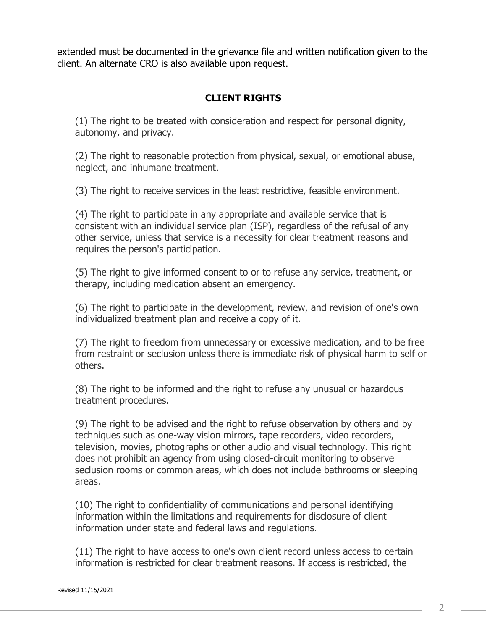extended must be documented in the grievance file and written notification given to the client. An alternate CRO is also available upon request.

### **CLIENT RIGHTS**

(1) The right to be treated with consideration and respect for personal dignity, autonomy, and privacy.

(2) The right to reasonable protection from physical, sexual, or emotional abuse, neglect, and inhumane treatment.

(3) The right to receive services in the least restrictive, feasible environment.

(4) The right to participate in any appropriate and available service that is consistent with an individual service plan (ISP), regardless of the refusal of any other service, unless that service is a necessity for clear treatment reasons and requires the person's participation.

(5) The right to give informed consent to or to refuse any service, treatment, or therapy, including medication absent an emergency.

(6) The right to participate in the development, review, and revision of one's own individualized treatment plan and receive a copy of it.

(7) The right to freedom from unnecessary or excessive medication, and to be free from restraint or seclusion unless there is immediate risk of physical harm to self or others.

(8) The right to be informed and the right to refuse any unusual or hazardous treatment procedures.

(9) The right to be advised and the right to refuse observation by others and by techniques such as one-way vision mirrors, tape recorders, video recorders, television, movies, photographs or other audio and visual technology. This right does not prohibit an agency from using closed-circuit monitoring to observe seclusion rooms or common areas, which does not include bathrooms or sleeping areas.

(10) The right to confidentiality of communications and personal identifying information within the limitations and requirements for disclosure of client information under state and federal laws and regulations.

(11) The right to have access to one's own client record unless access to certain information is restricted for clear treatment reasons. If access is restricted, the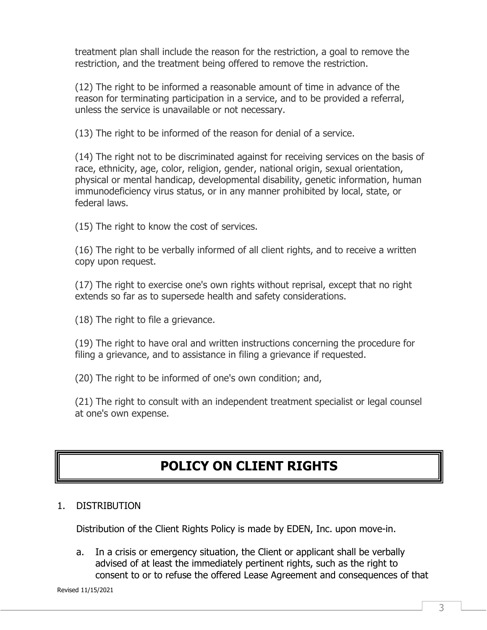treatment plan shall include the reason for the restriction, a goal to remove the restriction, and the treatment being offered to remove the restriction.

(12) The right to be informed a reasonable amount of time in advance of the reason for terminating participation in a service, and to be provided a referral, unless the service is unavailable or not necessary.

(13) The right to be informed of the reason for denial of a service.

(14) The right not to be discriminated against for receiving services on the basis of race, ethnicity, age, color, religion, gender, national origin, sexual orientation, physical or mental handicap, developmental disability, genetic information, human immunodeficiency virus status, or in any manner prohibited by local, state, or federal laws.

(15) The right to know the cost of services.

(16) The right to be verbally informed of all client rights, and to receive a written copy upon request.

(17) The right to exercise one's own rights without reprisal, except that no right extends so far as to supersede health and safety considerations.

(18) The right to file a grievance.

(19) The right to have oral and written instructions concerning the procedure for filing a grievance, and to assistance in filing a grievance if requested.

(20) The right to be informed of one's own condition; and,

(21) The right to consult with an independent treatment specialist or legal counsel at one's own expense.

## **POLICY ON CLIENT RIGHTS**

### 1. DISTRIBUTION

Distribution of the Client Rights Policy is made by EDEN, Inc. upon move-in.

a. In a crisis or emergency situation, the Client or applicant shall be verbally advised of at least the immediately pertinent rights, such as the right to consent to or to refuse the offered Lease Agreement and consequences of that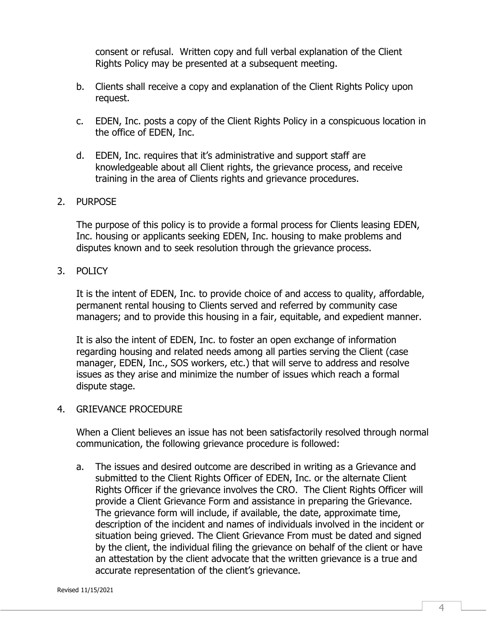consent or refusal. Written copy and full verbal explanation of the Client Rights Policy may be presented at a subsequent meeting.

- b. Clients shall receive a copy and explanation of the Client Rights Policy upon request.
- c. EDEN, Inc. posts a copy of the Client Rights Policy in a conspicuous location in the office of EDEN, Inc.
- d. EDEN, Inc. requires that it's administrative and support staff are knowledgeable about all Client rights, the grievance process, and receive training in the area of Clients rights and grievance procedures.

#### 2. PURPOSE

The purpose of this policy is to provide a formal process for Clients leasing EDEN, Inc. housing or applicants seeking EDEN, Inc. housing to make problems and disputes known and to seek resolution through the grievance process.

#### 3. POLICY

It is the intent of EDEN, Inc. to provide choice of and access to quality, affordable, permanent rental housing to Clients served and referred by community case managers; and to provide this housing in a fair, equitable, and expedient manner.

It is also the intent of EDEN, Inc. to foster an open exchange of information regarding housing and related needs among all parties serving the Client (case manager, EDEN, Inc., SOS workers, etc.) that will serve to address and resolve issues as they arise and minimize the number of issues which reach a formal dispute stage.

#### 4. GRIEVANCE PROCEDURE

When a Client believes an issue has not been satisfactorily resolved through normal communication, the following grievance procedure is followed:

a. The issues and desired outcome are described in writing as a Grievance and submitted to the Client Rights Officer of EDEN, Inc. or the alternate Client Rights Officer if the grievance involves the CRO. The Client Rights Officer will provide a Client Grievance Form and assistance in preparing the Grievance. The grievance form will include, if available, the date, approximate time, description of the incident and names of individuals involved in the incident or situation being grieved. The Client Grievance From must be dated and signed by the client, the individual filing the grievance on behalf of the client or have an attestation by the client advocate that the written grievance is a true and accurate representation of the client's grievance.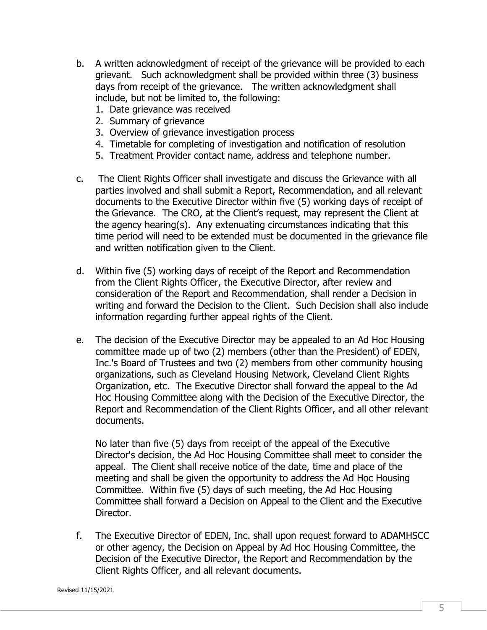- b. A written acknowledgment of receipt of the grievance will be provided to each grievant. Such acknowledgment shall be provided within three (3) business days from receipt of the grievance. The written acknowledgment shall include, but not be limited to, the following:
	- 1. Date grievance was received
	- 2. Summary of grievance
	- 3. Overview of grievance investigation process
	- 4. Timetable for completing of investigation and notification of resolution
	- 5. Treatment Provider contact name, address and telephone number.
- c. The Client Rights Officer shall investigate and discuss the Grievance with all parties involved and shall submit a Report, Recommendation, and all relevant documents to the Executive Director within five (5) working days of receipt of the Grievance. The CRO, at the Client's request, may represent the Client at the agency hearing(s). Any extenuating circumstances indicating that this time period will need to be extended must be documented in the grievance file and written notification given to the Client.
- d. Within five (5) working days of receipt of the Report and Recommendation from the Client Rights Officer, the Executive Director, after review and consideration of the Report and Recommendation, shall render a Decision in writing and forward the Decision to the Client. Such Decision shall also include information regarding further appeal rights of the Client.
- e. The decision of the Executive Director may be appealed to an Ad Hoc Housing committee made up of two (2) members (other than the President) of EDEN, Inc.'s Board of Trustees and two (2) members from other community housing organizations, such as Cleveland Housing Network, Cleveland Client Rights Organization, etc. The Executive Director shall forward the appeal to the Ad Hoc Housing Committee along with the Decision of the Executive Director, the Report and Recommendation of the Client Rights Officer, and all other relevant documents.

No later than five (5) days from receipt of the appeal of the Executive Director's decision, the Ad Hoc Housing Committee shall meet to consider the appeal. The Client shall receive notice of the date, time and place of the meeting and shall be given the opportunity to address the Ad Hoc Housing Committee. Within five (5) days of such meeting, the Ad Hoc Housing Committee shall forward a Decision on Appeal to the Client and the Executive Director.

f. The Executive Director of EDEN, Inc. shall upon request forward to ADAMHSCC or other agency, the Decision on Appeal by Ad Hoc Housing Committee, the Decision of the Executive Director, the Report and Recommendation by the Client Rights Officer, and all relevant documents.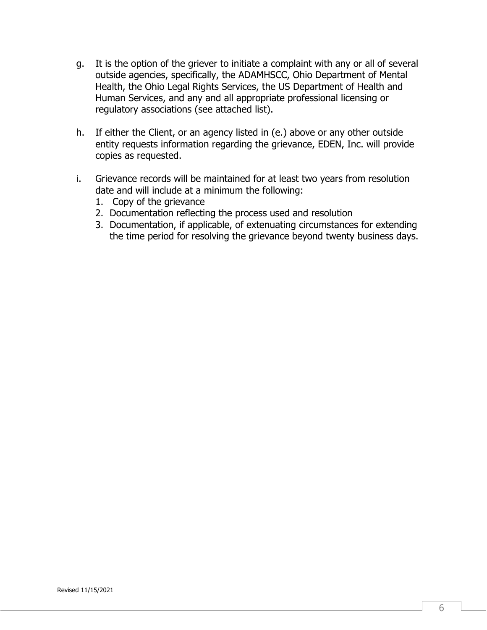- g. It is the option of the griever to initiate a complaint with any or all of several outside agencies, specifically, the ADAMHSCC, Ohio Department of Mental Health, the Ohio Legal Rights Services, the US Department of Health and Human Services, and any and all appropriate professional licensing or regulatory associations (see attached list).
- h. If either the Client, or an agency listed in (e.) above or any other outside entity requests information regarding the grievance, EDEN, Inc. will provide copies as requested.
- i. Grievance records will be maintained for at least two years from resolution date and will include at a minimum the following:
	- 1. Copy of the grievance
	- 2. Documentation reflecting the process used and resolution
	- 3. Documentation, if applicable, of extenuating circumstances for extending the time period for resolving the grievance beyond twenty business days.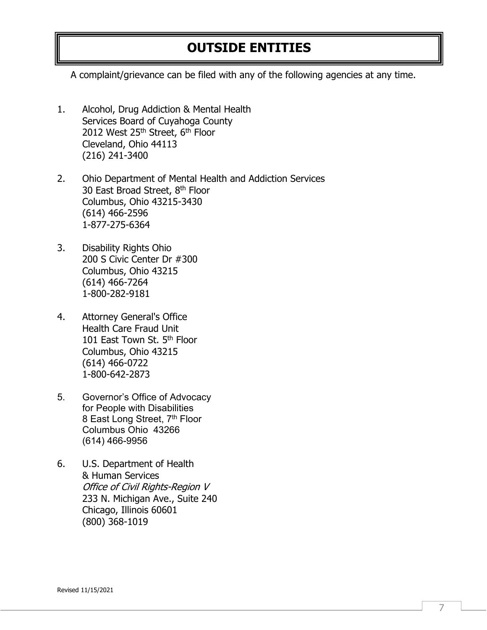## **OUTSIDE ENTITIES**

A complaint/grievance can be filed with any of the following agencies at any time.

1. Alcohol, Drug Addiction & Mental Health Services Board of Cuyahoga County 2012 West 25th Street, 6th Floor Cleveland, Ohio 44113 (216) 241-3400

2. Ohio Department of Mental Health and Addiction Services 30 East Broad Street, 8<sup>th</sup> Floor Columbus, Ohio 43215-3430 (614) 466-2596 1-877-275-6364

- 3. Disability Rights Ohio 200 S Civic Center Dr #300 Columbus, Ohio 43215 (614) 466-7264 1-800-282-9181
- 4. Attorney General's Office Health Care Fraud Unit 101 East Town St. 5<sup>th</sup> Floor Columbus, Ohio 43215 (614) 466-0722 1-800-642-2873
- 5. Governor's Office of Advocacy for People with Disabilities 8 East Long Street, 7<sup>th</sup> Floor Columbus Ohio 43266 (614) 466-9956
- 6. U.S. Department of Health & Human Services Office of Civil Rights-Region V 233 N. Michigan Ave., Suite 240 Chicago, Illinois 60601 (800) 368-1019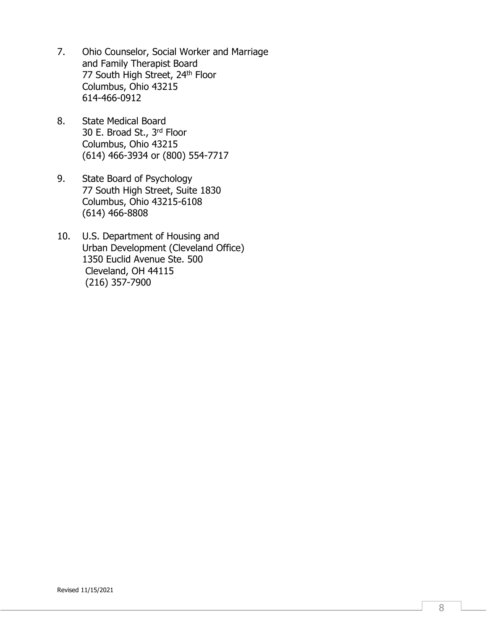- 7. Ohio Counselor, Social Worker and Marriage and Family Therapist Board 77 South High Street, 24<sup>th</sup> Floor Columbus, Ohio 43215 614-466-0912
- 8. State Medical Board 30 E. Broad St., 3rd Floor Columbus, Ohio 43215 (614) 466-3934 or (800) 554-7717
- 9. State Board of Psychology 77 South High Street, Suite 1830 Columbus, Ohio 43215-6108 (614) 466-8808
- 10. U.S. Department of Housing and Urban Development (Cleveland Office) 1350 Euclid Avenue Ste. 500 Cleveland, OH 44115 (216) 357-7900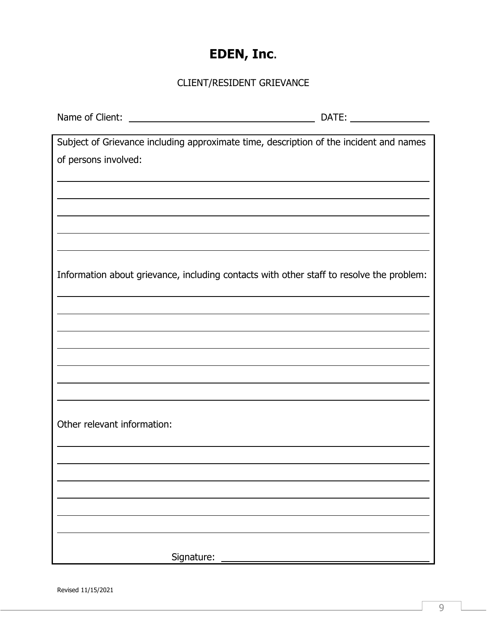# **EDEN, Inc**.

## CLIENT/RESIDENT GRIEVANCE

| Subject of Grievance including approximate time, description of the incident and names   |  |
|------------------------------------------------------------------------------------------|--|
| of persons involved:                                                                     |  |
|                                                                                          |  |
|                                                                                          |  |
|                                                                                          |  |
|                                                                                          |  |
|                                                                                          |  |
|                                                                                          |  |
|                                                                                          |  |
| Information about grievance, including contacts with other staff to resolve the problem: |  |
|                                                                                          |  |
|                                                                                          |  |
|                                                                                          |  |
|                                                                                          |  |
|                                                                                          |  |
|                                                                                          |  |
|                                                                                          |  |
|                                                                                          |  |
|                                                                                          |  |
| Other relevant information:                                                              |  |
|                                                                                          |  |
|                                                                                          |  |
|                                                                                          |  |
|                                                                                          |  |
|                                                                                          |  |
|                                                                                          |  |
|                                                                                          |  |
|                                                                                          |  |
| Signature:                                                                               |  |

Revised 11/15/2021